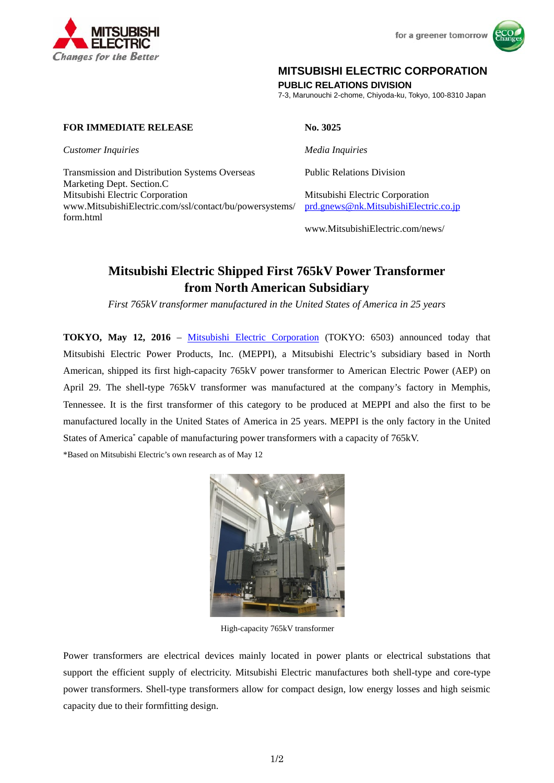



# **MITSUBISHI ELECTRIC CORPORATION**

**PUBLIC RELATIONS DIVISION** 

7-3, Marunouchi 2-chome, Chiyoda-ku, Tokyo, 100-8310 Japan

# **FOR IMMEDIATE RELEASE No. 3025**

*Customer Inquiries Media Inquiries*

Transmission and Distribution Systems Overseas Marketing Dept. Section.C Mitsubishi Electric Corporation Mitsubishi Electric Corporation www.MitsubishiElectric.com/ssl/contact/bu/powersystems/ form.html

Public Relations Division

prd.gnews@nk.MitsubishiElectric.co.jp

www.MitsubishiElectric.com/news/

# **Mitsubishi Electric Shipped First 765kV Power Transformer from North American Subsidiary**

*First 765kV transformer manufactured in the United States of America in 25 years* 

**TOKYO, May 12, 2016** – Mitsubishi Electric Corporation (TOKYO: 6503) announced today that Mitsubishi Electric Power Products, Inc. (MEPPI), a Mitsubishi Electric's subsidiary based in North American, shipped its first high-capacity 765kV power transformer to American Electric Power (AEP) on April 29. The shell-type 765kV transformer was manufactured at the company's factory in Memphis, Tennessee. It is the first transformer of this category to be produced at MEPPI and also the first to be manufactured locally in the United States of America in 25 years. MEPPI is the only factory in the United States of America<sup>\*</sup> capable of manufacturing power transformers with a capacity of 765kV.

\*Based on Mitsubishi Electric's own research as of May 12



High-capacity 765kV transformer

Power transformers are electrical devices mainly located in power plants or electrical substations that support the efficient supply of electricity. Mitsubishi Electric manufactures both shell-type and core-type power transformers. Shell-type transformers allow for compact design, low energy losses and high seismic capacity due to their formfitting design.